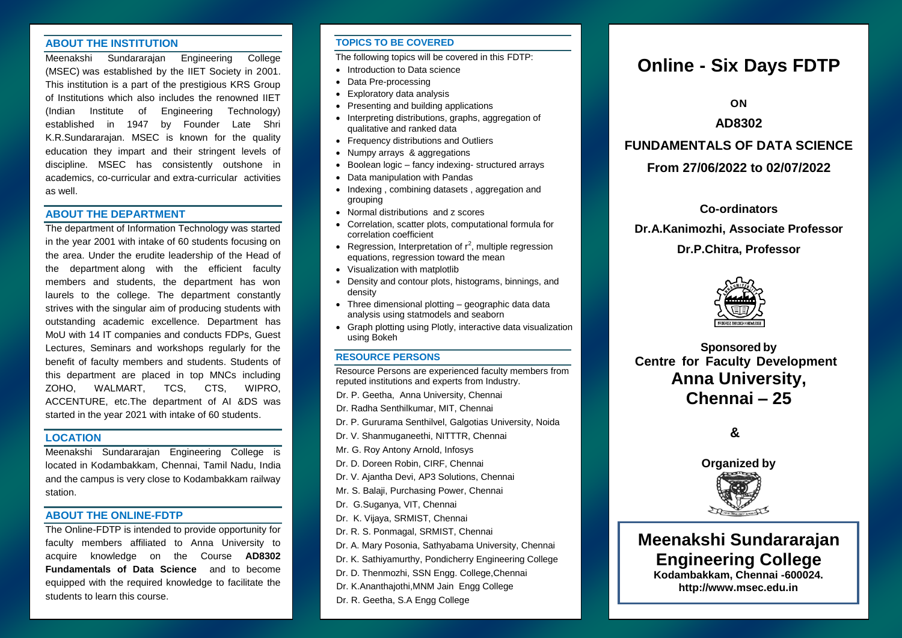#### **ABOUT THE INSTITUTION**

Meenakshi Sundararajan Engineering College (MSEC) was established by the IIET Society in 2001. This institution is a part of the prestigious KRS Group of Institutions which also includes the renowned IIET (Indian Institute of Engineering Technology) established in 1947 by Founder Late Shri K.R.Sundararajan. MSEC is known for the quality education they impart and their stringent levels of discipline. MSEC has consistently outshone in academics, co-curricular and extra-curricular activities as well.

#### **ABOUT THE DEPARTMENT**

The department of Information Technology was started in the year 2001 with intake of 60 students focusing on the area. Under the erudite leadership of the Head of the department along with the efficient faculty members and students, the department has won laurels to the college. The department constantly strives with the singular aim of producing students with outstanding academic excellence. Department has MoU with 14 IT companies and conducts FDPs, Guest Lectures, Seminars and workshops regularly for the benefit of faculty members and students. Students of this department are placed in top MNCs including ZOHO, WALMART, TCS, CTS, WIPRO, ACCENTURE, etc.The department of AI &DS was started in the year 2021 with intake of 60 students.

### **LOCATION**

Meenakshi Sundararajan Engineering College is located in Kodambakkam, Chennai, Tamil Nadu, India and the campus is very close to Kodambakkam railway station.

#### **ABOUT THE ONLINE-FDTP**

The Online-FDTP is intended to provide opportunity for faculty members affiliated to Anna University to acquire knowledge on the Course **AD8302 Fundamentals of Data Science** and to become equipped with the required knowledge to facilitate the students to learn this course.

#### **TOPICS TO BE COVERED**

The following topics will be covered in this FDTP:

- Introduction to Data science
- Data Pre-processing
- Exploratory data analysis
- Presenting and building applications
- Interpreting distributions, graphs, aggregation of qualitative and ranked data
- Frequency distributions and Outliers
- Numpy arrays & aggregations
- Boolean logic fancy indexing- structured arrays
- Data manipulation with Pandas
- Indexing, combining datasets, aggregation and grouping
- Normal distributions and z scores
- Correlation, scatter plots, computational formula for correlation coefficient
- Regression, Interpretation of  $r^2$ , multiple regression equations, regression toward the mean
- Visualization with matplotlib
- Density and contour plots, histograms, binnings, and density
- Three dimensional plotting geographic data data analysis using statmodels and seaborn
- Graph plotting using Plotly, interactive data visualization using Bokeh

#### **RESOURCE PERSONS**

Resource Persons are experienced faculty members from reputed institutions and experts from Industry.

- Dr. P. Geetha, Anna University, Chennai
- Dr. Radha Senthilkumar, MIT, Chennai
- Dr. P. Gururama Senthilvel, Galgotias University, Noida
- Dr. V. Shanmuganeethi, NITTTR, Chennai
- Mr. G. Roy Antony Arnold, Infosys
- Dr. D. Doreen Robin, CIRF, Chennai
- Dr. V. Ajantha Devi, AP3 Solutions, Chennai
- Mr. S. Balaji, Purchasing Power, Chennai
- Dr. G.Suganya, VIT, Chennai
- Dr. K. Vijaya, SRMIST, Chennai
- Dr. R. S. Ponmagal, SRMIST, Chennai
- Dr. A. Mary Posonia, Sathyabama University, Chennai
- Dr. K. Sathiyamurthy, Pondicherry Engineering College
- Dr. D. Thenmozhi, SSN Engg. College,Chennai
- Dr. K.Ananthajothi,MNM Jain Engg College
- Dr. R. Geetha, S.A Engg College

# **Online - Six Days FDTP**

**ON**

## **AD8302**

## **FUNDAMENTALS OF DATA SCIENCE**

## **From 27/06/2022 to 02/07/2022**

**Co-ordinators**

**Dr.A.Kanimozhi, Associate Professor**

## **Dr.P.Chitra, Professor**



**Sponsored by Centre for Faculty Development Anna University, Chennai – 25**

**&**



**Meenakshi Sundararajan Engineering College Kodambakkam, Chennai -600024. http://www.msec.edu.in**